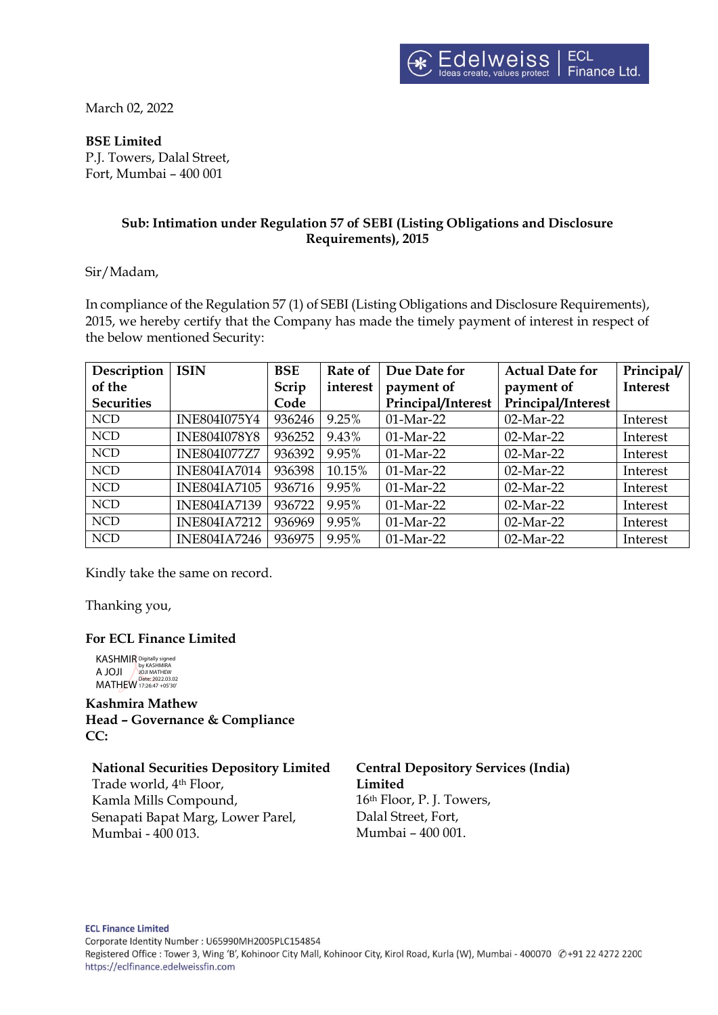March 02, 2022

#### **BSE Limited**

P.J. Towers, Dalal Street, Fort, Mumbai – 400 001

### **Sub: Intimation under Regulation 57 of SEBI (Listing Obligations and Disclosure Requirements), 2015**

Sir/Madam,

In compliance of the Regulation 57 (1) of SEBI (Listing Obligations and Disclosure Requirements), 2015, we hereby certify that the Company has made the timely payment of interest in respect of the below mentioned Security:

| Description       | <b>ISIN</b>         | <b>BSE</b> | Rate of  | Due Date for       | <b>Actual Date for</b> | Principal/      |
|-------------------|---------------------|------------|----------|--------------------|------------------------|-----------------|
| of the            |                     | Scrip      | interest | payment of         | payment of             | <b>Interest</b> |
| <b>Securities</b> |                     | Code       |          | Principal/Interest | Principal/Interest     |                 |
| <b>NCD</b>        | <b>INE804I075Y4</b> | 936246     | 9.25%    | 01-Mar-22          | 02-Mar-22              | Interest        |
| <b>NCD</b>        | <b>INE804I078Y8</b> | 936252     | 9.43%    | 01-Mar-22          | 02-Mar-22              | Interest        |
| <b>NCD</b>        | <b>INE804I077Z7</b> | 936392     | 9.95%    | $01-Mar-22$        | $02$ -Mar-22           | Interest        |
| <b>NCD</b>        | <b>INE804IA7014</b> | 936398     | 10.15%   | 01-Mar-22          | 02-Mar-22              | Interest        |
| <b>NCD</b>        | <b>INE804IA7105</b> | 936716     | 9.95%    | $01-Mar-22$        | 02-Mar-22              | Interest        |
| <b>NCD</b>        | <b>INE804IA7139</b> | 936722     | 9.95%    | $01-Mar-22$        | $02$ -Mar-22           | Interest        |
| <b>NCD</b>        | <b>INE804IA7212</b> | 936969     | 9.95%    | 01-Mar-22          | 02-Mar-22              | Interest        |
| <b>NCD</b>        | <b>INE804IA7246</b> | 936975     | 9.95%    | 01-Mar-22          | 02-Mar-22              | Interest        |

Kindly take the same on record.

Thanking you,

#### **For ECL Finance Limited**

KASHMIR A JOJI MATHEW Digitally signed by KASHMIRA JOJI MATHEW Date: 2022.03.02 17:26:47 +05'30'

**Kashmira Mathew Head – Governance & Compliance CC:**

# **National Securities Depository Limited**

Trade world, 4th Floor, Kamla Mills Compound, Senapati Bapat Marg, Lower Parel, Mumbai - 400 013.

**Central Depository Services (India) Limited** 16th Floor, P. J. Towers, Dalal Street, Fort, Mumbai – 400 001.